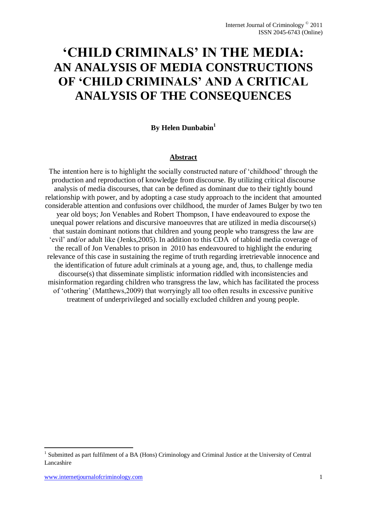# **'CHILD CRIMINALS' IN THE MEDIA: AN ANALYSIS OF MEDIA CONSTRUCTIONS OF 'CHILD CRIMINALS' AND A CRITICAL ANALYSIS OF THE CONSEQUENCES**

# **By Helen Dunbabin<sup>1</sup>**

#### **Abstract**

The intention here is to highlight the socially constructed nature of 'childhood' through the production and reproduction of knowledge from discourse. By utilizing critical discourse analysis of media discourses, that can be defined as dominant due to their tightly bound relationship with power, and by adopting a case study approach to the incident that amounted considerable attention and confusions over childhood, the murder of James Bulger by two ten year old boys; Jon Venables and Robert Thompson, I have endeavoured to expose the unequal power relations and discursive manoeuvres that are utilized in media discourse(s) that sustain dominant notions that children and young people who transgress the law are 'evil' and/or adult like (Jenks,2005). In addition to this CDA of tabloid media coverage of the recall of Jon Venables to prison in 2010 has endeavoured to highlight the enduring relevance of this case in sustaining the regime of truth regarding irretrievable innocence and the identification of future adult criminals at a young age, and, thus, to challenge media discourse(s) that disseminate simplistic information riddled with inconsistencies and misinformation regarding children who transgress the law, which has facilitated the process of 'othering' (Matthews,2009) that worryingly all too often results in excessive punitive treatment of underprivileged and socially excluded children and young people.

**.** 

<sup>1</sup> Submitted as part fulfilment of a BA (Hons) Criminology and Criminal Justice at the University of Central Lancashire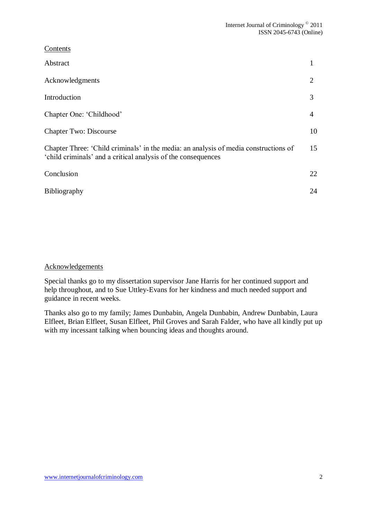| $\sim$ 0 income                                                                                                                                       |    |
|-------------------------------------------------------------------------------------------------------------------------------------------------------|----|
| Abstract                                                                                                                                              |    |
| Acknowledgments                                                                                                                                       | 2  |
| Introduction                                                                                                                                          | 3  |
| Chapter One: 'Childhood'                                                                                                                              | 4  |
| <b>Chapter Two: Discourse</b>                                                                                                                         | 10 |
| Chapter Three: 'Child criminals' in the media: an analysis of media constructions of<br>'child criminals' and a critical analysis of the consequences | 15 |
| Conclusion                                                                                                                                            | 22 |
| <b>Bibliography</b>                                                                                                                                   | 24 |
|                                                                                                                                                       |    |

## Acknowledgements

**Contents** 

Special thanks go to my dissertation supervisor Jane Harris for her continued support and help throughout, and to Sue Uttley-Evans for her kindness and much needed support and guidance in recent weeks.

Thanks also go to my family; James Dunbabin, Angela Dunbabin, Andrew Dunbabin, Laura Elfleet, Brian Elfleet, Susan Elfleet, Phil Groves and Sarah Falder, who have all kindly put up with my incessant talking when bouncing ideas and thoughts around.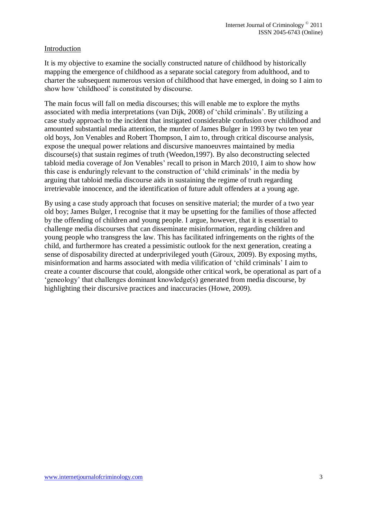## Introduction

It is my objective to examine the socially constructed nature of childhood by historically mapping the emergence of childhood as a separate social category from adulthood, and to charter the subsequent numerous version of childhood that have emerged, in doing so I aim to show how 'childhood' is constituted by discourse.

The main focus will fall on media discourses; this will enable me to explore the myths associated with media interpretations (van Dijk, 2008) of 'child criminals'. By utilizing a case study approach to the incident that instigated considerable confusion over childhood and amounted substantial media attention, the murder of James Bulger in 1993 by two ten year old boys, Jon Venables and Robert Thompson, I aim to, through critical discourse analysis, expose the unequal power relations and discursive manoeuvres maintained by media discourse(s) that sustain regimes of truth (Weedon,1997). By also deconstructing selected tabloid media coverage of Jon Venables' recall to prison in March 2010, I aim to show how this case is enduringly relevant to the construction of 'child criminals' in the media by arguing that tabloid media discourse aids in sustaining the regime of truth regarding irretrievable innocence, and the identification of future adult offenders at a young age.

By using a case study approach that focuses on sensitive material; the murder of a two year old boy; James Bulger, I recognise that it may be upsetting for the families of those affected by the offending of children and young people. I argue, however, that it is essential to challenge media discourses that can disseminate misinformation, regarding children and young people who transgress the law. This has facilitated infringements on the rights of the child, and furthermore has created a pessimistic outlook for the next generation, creating a sense of disposability directed at underprivileged youth (Giroux, 2009). By exposing myths, misinformation and harms associated with media vilification of 'child criminals' I aim to create a counter discourse that could, alongside other critical work, be operational as part of a 'geneology' that challenges dominant knowledge(s) generated from media discourse, by highlighting their discursive practices and inaccuracies (Howe, 2009).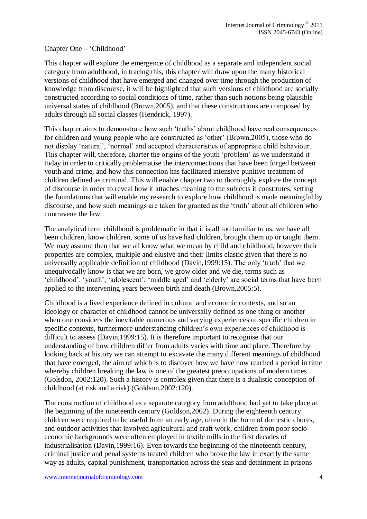## Chapter One – 'Childhood'

This chapter will explore the emergence of childhood as a separate and independent social category from adulthood, in tracing this, this chapter will draw upon the many historical versions of childhood that have emerged and changed over time through the production of knowledge from discourse, it will be highlighted that such versions of childhood are socially constructed according to social conditions of time, rather than such notions being plausible universal states of childhood (Brown,2005), and that these constructions are composed by adults through all social classes (Hendrick, 1997).

This chapter aims to demonstrate how such 'truths' about childhood have real consequences for children and young people who are constructed as 'other' (Brown,2005), those who do not display 'natural', 'normal' and accepted characteristics of appropriate child behaviour. This chapter will, therefore, charter the origins of the youth 'problem' as we understand it today in order to critically problematise the interconnections that have been forged between youth and crime, and how this connection has facilitated intensive punitive treatment of children defined as criminal. This will enable chapter two to thoroughly explore the concept of discourse in order to reveal how it attaches meaning to the subjects it constitutes, setting the foundations that will enable my research to explore how childhood is made meaningful by discourse, and how such meanings are taken for granted as the 'truth' about all children who contravene the law.

The analytical term childhood is problematic in that it is all too familiar to us, we have all been children, know children, some of us have had children, brought them up or taught them. We may assume then that we all know what we mean by child and childhood, however their properties are complex, multiple and elusive and their limits elastic given that there is no universally applicable definition of childhood (Davin,1999:15). The only 'truth' that we unequivocally know is that we are born, we grow older and we die, terms such as 'childhood', 'youth', 'adolescent', 'middle aged' and 'elderly' are social terms that have been applied to the intervening years between birth and death (Brown,2005:5).

Childhood is a lived experience defined in cultural and economic contexts, and so an ideology or character of childhood cannot be universally defined as one thing or another when one considers the inevitable numerous and varying experiences of specific children in specific contexts, furthermore understanding children's own experiences of childhood is difficult to assess (Davin,1999:15). It is therefore important to recognise that our understanding of how children differ from adults varies with time and place. Therefore by looking back at history we can attempt to excavate the many different meanings of childhood that have emerged, the aim of which is to discover how we have now reached a period in time whereby children breaking the law is one of the greatest preoccupations of modern times (Golsdon, 2002:120). Such a history is complex given that there is a dualistic conception of childhood (at risk and a risk) (Goldson,2002:120).

The construction of childhood as a separate category from adulthood had yet to take place at the beginning of the nineteenth century (Goldson,2002). During the eighteenth century children were required to be useful from an early age, often in the form of domestic chores, and outdoor activities that involved agricultural and craft work, children from poor socioeconomic backgrounds were often employed in textile mills in the first decades of industrialisation (Davin,1999:16). Even towards the beginning of the nineteenth century, criminal justice and penal systems treated children who broke the law in exactly the same way as adults, capital punishment, transportation across the seas and detainment in prisons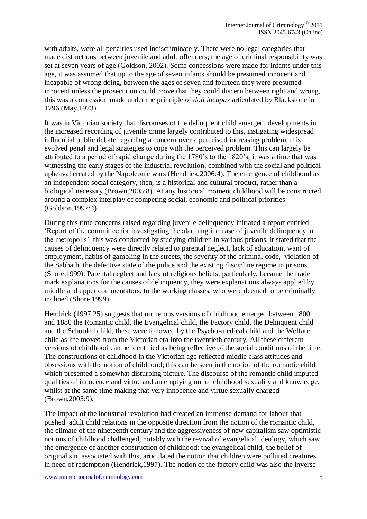with adults, were all penalties used indiscriminately. There were no legal categories that made distinctions between juvenile and adult offenders; the age of criminal responsibility was set at seven years of age (Goldson, 2002). Some concessions were made for infants under this age, it was assumed that up to the age of seven infants should be presumed innocent and incapable of wrong doing, between the ages of seven and fourteen they were presumed innocent unless the prosecution could prove that they could discern between right and wrong, this was a concession made under the principle of *doli incapax* articulated by Blackstone in 1796 (May,1973).

It was in Victorian society that discourses of the delinquent child emerged, developments in the increased recording of juvenile crime largely contributed to this, instigating widespread influential public debate regarding a concern over a perceived increasing problem; this evolved penal and legal strategies to cope with the perceived problem. This can largely be attributed to a period of rapid change during the 1780's to the 1820's, it was a time that was witnessing the early stages of the industrial revolution, combined with the social and political upheaval created by the Napoleonic wars (Hendrick,2006:4). The emergence of childhood as an independent social category, then, is a historical and cultural product, rather than a biological necessity (Brown,2005:8). At any historical moment childhood will be constructed around a complex interplay of competing social, economic and political priorities (Goldson,1997:4).

During this time concerns raised regarding juvenile delinquency initiated a report entitled 'Report of the committee for investigating the alarming increase of juvenile delinquency in the metropolis' this was conducted by studying children in various prisons, it stated that the causes of delinquency were directly related to parental neglect, lack of education, want of employment, habits of gambling in the streets, the severity of the criminal code, violation of the Sabbath, the defective state of the police and the existing discipline regime in prisons (Shore,1999). Parental neglect and lack of religious beliefs, particularly, became the trade mark explanations for the causes of delinquency, they were explanations always applied by middle and upper commentators, to the working classes, who were deemed to be criminally inclined (Shore,1999).

Hendrick (1997:25) suggests that numerous versions of childhood emerged between 1800 and 1880 the Romantic child, the Evangelical child, the Factory child, the Delinquent child and the Schooled child, these were followed by the Psycho-medical child and the Welfare child as life moved from the Victorian era into the twentieth century. All these different versions of childhood can be identified as being reflective of the social conditions of the time. The constructions of childhood in the Victorian age reflected middle class attitudes and obsessions with the notion of childhood; this can be seen in the notion of the romantic child, which presented a somewhat disturbing picture. The discourse of the romantic child imputed qualities of innocence and virtue and an emptying out of childhood sexuality and knowledge, whilst at the same time making that very innocence and virtue sexually charged (Brown,2005:9).

The impact of the industrial revolution had created an immense demand for labour that pushed adult child relations in the opposite direction from the notion of the romantic child, the climate of the nineteenth century and the aggressiveness of new capitalism saw optimistic notions of childhood challenged, notably with the revival of evangelical ideology, which saw the emergence of another construction of childhood; the evangelical child, the belief of original sin, associated with this, articulated the notion that children were polluted creatures in need of redemption (Hendrick,1997). The notion of the factory child was also the inverse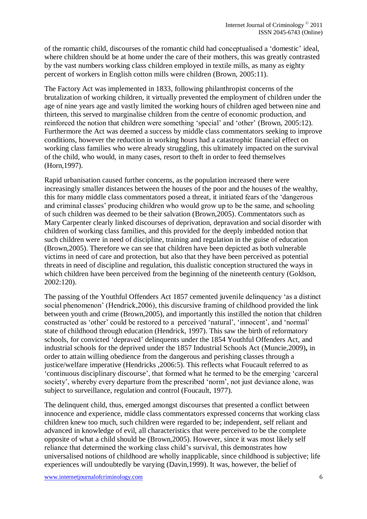of the romantic child, discourses of the romantic child had conceptualised a 'domestic' ideal, where children should be at home under the care of their mothers, this was greatly contrasted by the vast numbers working class children employed in textile mills, as many as eighty percent of workers in English cotton mills were children (Brown, 2005:11).

The Factory Act was implemented in 1833, following philanthropist concerns of the brutalization of working children, it virtually prevented the employment of children under the age of nine years age and vastly limited the working hours of children aged between nine and thirteen, this served to marginalise children from the centre of economic production, and reinforced the notion that children were something 'special' and 'other' (Brown, 2005:12). Furthermore the Act was deemed a success by middle class commentators seeking to improve conditions, however the reduction in working hours had a catastrophic financial effect on working class families who were already struggling, this ultimately impacted on the survival of the child, who would, in many cases, resort to theft in order to feed themselves (Horn,1997).

Rapid urbanisation caused further concerns, as the population increased there were increasingly smaller distances between the houses of the poor and the houses of the wealthy, this for many middle class commentators posed a threat, it initiated fears of the 'dangerous and criminal classes' producing children who would grow up to be the same, and schooling of such children was deemed to be their salvation (Brown,2005). Commentators such as Mary Carpenter clearly linked discourses of deprivation, depravation and social disorder with children of working class families, and this provided for the deeply imbedded notion that such children were in need of discipline, training and regulation in the guise of education (Brown,2005). Therefore we can see that children have been depicted as both vulnerable victims in need of care and protection, but also that they have been perceived as potential threats in need of discipline and regulation, this dualistic conception structured the ways in which children have been perceived from the beginning of the nineteenth century (Goldson, 2002:120).

The passing of the Youthful Offenders Act 1857 cemented juvenile delinquency 'as a distinct social phenomenon' (Hendrick,2006), this discursive framing of childhood provided the link between youth and crime (Brown,2005), and importantly this instilled the notion that children constructed as 'other' could be restored to a perceived 'natural', 'innocent', and 'normal' state of childhood through education (Hendrick, 1997). This saw the birth of reformatory schools, for convicted 'depraved' delinquents under the 1854 Youthful Offenders Act, and industrial schools for the deprived under the 1857 Industrial Schools Act (Muncie,2009)**,** in order to attain willing obedience from the dangerous and perishing classes through a justice/welfare imperative (Hendricks ,2006:5). This reflects what Foucault referred to as 'continuous disciplinary discourse', that formed what he termed to be the emerging 'carceral society', whereby every departure from the prescribed 'norm', not just deviance alone, was subject to surveillance, regulation and control (Foucault, 1977).

The delinquent child, thus, emerged amongst discourses that presented a conflict between innocence and experience, middle class commentators expressed concerns that working class children knew too much, such children were regarded to be; independent, self reliant and advanced in knowledge of evil, all characteristics that were perceived to be the complete opposite of what a child should be (Brown,2005). However, since it was most likely self reliance that determined the working class child's survival, this demonstrates how universalised notions of childhood are wholly inapplicable, since childhood is subjective; life experiences will undoubtedly be varying (Davin,1999). It was, however, the belief of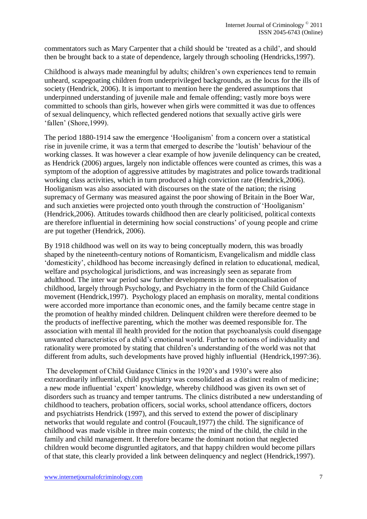commentators such as Mary Carpenter that a child should be 'treated as a child', and should then be brought back to a state of dependence, largely through schooling (Hendricks,1997).

Childhood is always made meaningful by adults; children's own experiences tend to remain unheard, scapegoating children from underprivileged backgrounds, as the locus for the ills of society (Hendrick, 2006). It is important to mention here the gendered assumptions that underpinned understanding of juvenile male and female offending; vastly more boys were committed to schools than girls, however when girls were committed it was due to offences of sexual delinquency, which reflected gendered notions that sexually active girls were 'fallen' (Shore,1999).

The period 1880-1914 saw the emergence 'Hooliganism' from a concern over a statistical rise in juvenile crime, it was a term that emerged to describe the 'loutish' behaviour of the working classes. It was however a clear example of how juvenile delinquency can be created, as Hendrick (2006) argues, largely non indictable offences were counted as crimes, this was a symptom of the adoption of aggressive attitudes by magistrates and police towards traditional working class activities, which in turn produced a high conviction rate (Hendrick,2006). Hooliganism was also associated with discourses on the state of the nation; the rising supremacy of Germany was measured against the poor showing of Britain in the Boer War, and such anxieties were projected onto youth through the construction of 'Hooliganism' (Hendrick,2006). Attitudes towards childhood then are clearly politicised, political contexts are therefore influential in determining how social constructions' of young people and crime are put together (Hendrick, 2006).

By 1918 childhood was well on its way to being conceptually modern, this was broadly shaped by the nineteenth-century notions of Romanticism, Evangelicalism and middle class 'domesticity', childhood has become increasingly defined in relation to educational, medical, welfare and psychological jurisdictions, and was increasingly seen as separate from adulthood. The inter war period saw further developments in the conceptualisation of childhood, largely through Psychology, and Psychiatry in the form of the Child Guidance movement (Hendrick,1997). Psychology placed an emphasis on morality, mental conditions were accorded more importance than economic ones, and the family became centre stage in the promotion of healthy minded children. Delinquent children were therefore deemed to be the products of ineffective parenting, which the mother was deemed responsible for. The association with mental ill health provided for the notion that psychoanalysis could disengage unwanted characteristics of a child's emotional world. Further to notions of individuality and rationality were promoted by stating that children's understanding of the world was not that different from adults, such developments have proved highly influential (Hendrick,1997:36).

The development of Child Guidance Clinics in the 1920's and 1930's were also extraordinarily influential, child psychiatry was consolidated as a distinct realm of medicine; a new mode influential 'expert' knowledge, whereby childhood was given its own set of disorders such as truancy and temper tantrums. The clinics distributed a new understanding of childhood to teachers, probation officers, social works, school attendance officers, doctors and psychiatrists Hendrick (1997), and this served to extend the power of disciplinary networks that would regulate and control (Foucault,1977) the child. The significance of childhood was made visible in three main contexts; the mind of the child, the child in the family and child management. It therefore became the dominant notion that neglected children would become disgruntled agitators, and that happy children would become pillars of that state, this clearly provided a link between delinquency and neglect (Hendrick,1997).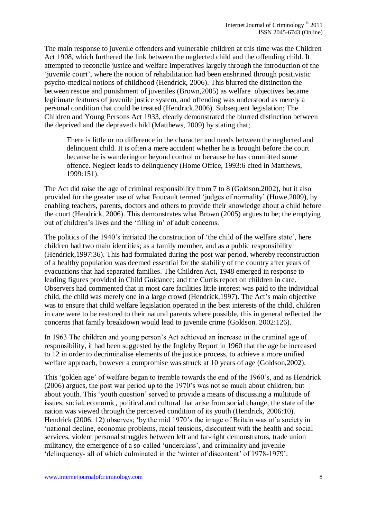The main response to juvenile offenders and vulnerable children at this time was the Children Act 1908, which furthered the link between the neglected child and the offending child. It attempted to reconcile justice and welfare imperatives largely through the introduction of the 'juvenile court', where the notion of rehabilitation had been enshrined through positivistic psycho-medical notions of childhood (Hendrick, 2006). This blurred the distinction the between rescue and punishment of juveniles (Brown,2005) as welfare objectives became legitimate features of juvenile justice system, and offending was understood as merely a personal condition that could be treated (Hendrick,2006). Subsequent legislation; The Children and Young Persons Act 1933, clearly demonstrated the blurred distinction between the deprived and the depraved child (Matthews, 2009) by stating that;

There is little or no difference in the character and needs between the neglected and delinquent child. It is often a mere accident whether he is brought before the court because he is wandering or beyond control or because he has committed some offence. Neglect leads to delinquency (Home Office, 1993:6 cited in Matthews, 1999:151).

The Act did raise the age of criminal responsibility from 7 to 8 (Goldson,2002), but it also provided for the greater use of what Foucault termed 'judges of normality' (Howe,2009**)**, by enabling teachers, parents, doctors and others to provide their knowledge about a child before the court (Hendrick, 2006). This demonstrates what Brown (2005) argues to be; the emptying out of children's lives and the 'filling in' of adult concerns.

The politics of the 1940's initiated the construction of 'the child of the welfare state', here children had two main identities; as a family member, and as a public responsibility (Hendrick,1997:36). This had formulated during the post war period, whereby reconstruction of a healthy population was deemed essential for the stability of the country after years of evacuations that had separated families. The Children Act, 1948 emerged in response to leading figures provided in Child Guidance; and the Curtis report on children in care. Observers had commented that in most care facilities little interest was paid to the individual child, the child was merely one in a large crowd (Hendrick,1997). The Act's main objective was to ensure that child welfare legislation operated in the best interests of the child, children in care were to be restored to their natural parents where possible, this in general reflected the concerns that family breakdown would lead to juvenile crime (Goldson. 2002:126).

In 1963 The children and young person's Act achieved an increase in the criminal age of responsibility, it had been suggested by the Ingleby Report in 1960 that the age be increased to 12 in order to decriminalise elements of the justice process, to achieve a more unified welfare approach, however a compromise was struck at 10 years of age (Goldson,2002).

This 'golden age' of welfare began to tremble towards the end of the 1960's, and as Hendrick (2006) argues, the post war period up to the 1970's was not so much about children, but about youth. This 'youth question' served to provide a means of discussing a multitude of issues; social, economic, political and cultural that arise from social change, the state of the nation was viewed through the perceived condition of its youth (Hendrick, 2006:10). Hendrick (2006: 12) observes; 'by the mid 1970's the image of Britain was of a society in 'national decline, economic problems, racial tensions, discontent with the health and social services, violent personal struggles between left and far-right demonstrators, trade union militancy, the emergence of a so-called 'underclass', and criminality and juvenile 'delinquency- all of which culminated in the 'winter of discontent' of 1978-1979'.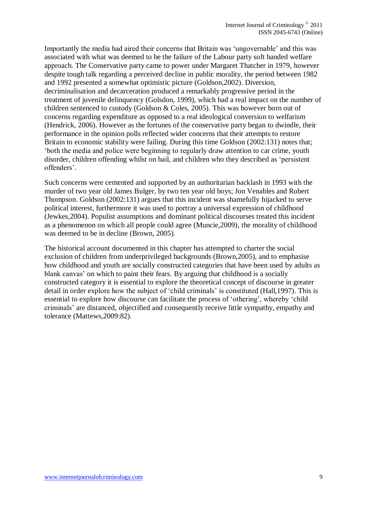Importantly the media had aired their concerns that Britain was 'ungovernable' and this was associated with what was deemed to be the failure of the Labour party soft handed welfare approach. The Conservative party came to power under Margaret Thatcher in 1979, however despite tough talk regarding a perceived decline in public morality, the period between 1982 and 1992 presented a somewhat optimistic picture (Goldson,2002). Diversion, decriminalisation and decarceration produced a remarkably progressive period in the treatment of juvenile delinquency (Golsdon, 1999), which had a real impact on the number of children sentenced to custody (Goldson & Coles, 2005). This was however born out of concerns regarding expenditure as opposed to a real ideological conversion to welfarism (Hendrick, 2006). However as the fortunes of the conservative party began to dwindle, their performance in the opinion polls reflected wider concerns that their attempts to restore Britain to economic stability were failing. During this time Goldson (2002:131) notes that; 'both the media and police were beginning to regularly draw attention to car crime, youth disorder, children offending whilst on bail, and children who they described as 'persistent offenders'.

Such concerns were cemented and supported by an authoritarian backlash in 1993 with the murder of two year old James Bulger, by two ten year old boys; Jon Venables and Robert Thompson. Goldson (2002:131) argues that this incident was shamefully hijacked to serve political interest, furthermore it was used to portray a universal expression of childhood (Jewkes,2004). Populist assumptions and dominant political discourses treated this incident as a phenomenon on which all people could agree (Muncie,2009), the morality of childhood was deemed to be in decline (Brown, 2005).

The historical account documented in this chapter has attempted to charter the social exclusion of children from underprivileged backgrounds (Brown,2005), and to emphasise how childhood and youth are socially constructed categories that have been used by adults as blank canvas' on which to paint their fears. By arguing that childhood is a socially constructed category it is essential to explore the theoretical concept of discourse in greater detail in order explore how the subject of 'child criminals' is constituted (Hall,1997). This is essential to explore how discourse can facilitate the process of 'othering', whereby 'child criminals' are distanced, objectified and consequently receive little sympathy, empathy and tolerance (Mattews,2009:82).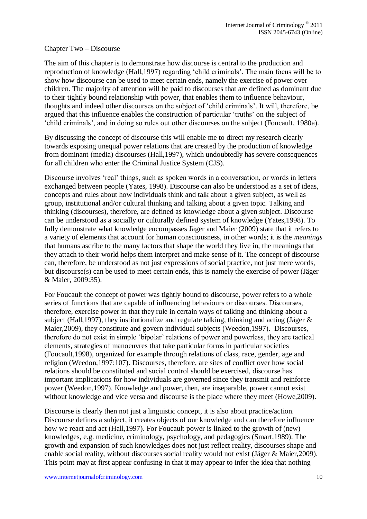#### Chapter Two – Discourse

The aim of this chapter is to demonstrate how discourse is central to the production and reproduction of knowledge (Hall,1997) regarding 'child criminals'. The main focus will be to show how discourse can be used to meet certain ends, namely the exercise of power over children. The majority of attention will be paid to discourses that are defined as dominant due to their tightly bound relationship with power, that enables them to influence behaviour, thoughts and indeed other discourses on the subject of 'child criminals'. It will, therefore, be argued that this influence enables the construction of particular 'truths' on the subject of 'child criminals', and in doing so rules out other discourses on the subject (Foucault, 1980a).

By discussing the concept of discourse this will enable me to direct my research clearly towards exposing unequal power relations that are created by the production of knowledge from dominant (media) discourses (Hall,1997), which undoubtedly has severe consequences for all children who enter the Criminal Justice System (CJS).

Discourse involves 'real' things, such as spoken words in a conversation, or words in letters exchanged between people (Yates, 1998). Discourse can also be understood as a set of ideas, concepts and rules about how individuals think and talk about a given subject, as well as group, institutional and/or cultural thinking and talking about a given topic. Talking and thinking (discourses), therefore, are defined as knowledge about a given subject. Discourse can be understood as a socially or culturally defined system of knowledge (Yates,1998). To fully demonstrate what knowledge encompasses Jäger and Maier (2009) state that it refers to a variety of elements that account for human consciousness, in other words; it is the *meanings* that humans ascribe to the many factors that shape the world they live in, the meanings that they attach to their world helps them interpret and make sense of it. The concept of discourse can, therefore, be understood as not just expressions of social practice, not just mere words, but discourse(s) can be used to meet certain ends, this is namely the exercise of power (Jäger & Maier, 2009:35).

For Foucault the concept of power was tightly bound to discourse, power refers to a whole series of functions that are capable of influencing behaviours or discourses. Discourses, therefore, exercise power in that they rule in certain ways of talking and thinking about a subject (Hall,1997), they institutionalize and regulate talking, thinking and acting (Jäger & Maier,2009), they constitute and govern individual subjects (Weedon,1997). Discourses, therefore do not exist in simple 'bipolar' relations of power and powerless, they are tactical elements, strategies of manoeuvres that take particular forms in particular societies (Foucault,1998), organized for example through relations of class, race, gender, age and religion (Weedon,1997:107). Discourses, therefore, are sites of conflict over how social relations should be constituted and social control should be exercised, discourse has important implications for how individuals are governed since they transmit and reinforce power (Weedon,1997). Knowledge and power, then, are inseparable, power cannot exist without knowledge and vice versa and discourse is the place where they meet (Howe, 2009).

Discourse is clearly then not just a linguistic concept, it is also about practice/action. Discourse defines a subject, it creates objects of our knowledge and can therefore influence how we react and act (Hall,1997). For Foucault power is linked to the growth of (new) knowledges, e.g. medicine, criminology, psychology, and pedagogics (Smart,1989). The growth and expansion of such knowledges does not just reflect reality, discourses shape and enable social reality, without discourses social reality would not exist (Jäger & Maier,2009). This point may at first appear confusing in that it may appear to infer the idea that nothing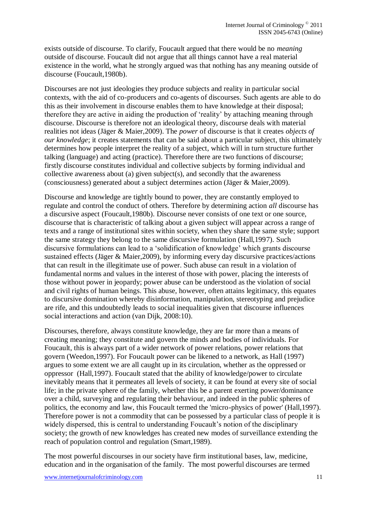exists outside of discourse. To clarify, Foucault argued that there would be no *meaning* outside of discourse. Foucault did not argue that all things cannot have a real material existence in the world, what he strongly argued was that nothing has any meaning outside of discourse (Foucault,1980b).

Discourses are not just ideologies they produce subjects and reality in particular social contexts, with the aid of co-producers and co-agents of discourses. Such agents are able to do this as their involvement in discourse enables them to have knowledge at their disposal; therefore they are active in aiding the production of 'reality' by attaching meaning through discourse. Discourse is therefore not an ideological theory, discourse deals with material realities not ideas (Jäger & Maier,2009). The *power* of discourse is that it creates *objects of our knowledge*; it creates statements that can be said about a particular subject, this ultimately determines how people interpret the reality of a subject, which will in turn structure further talking (language) and acting (practice). Therefore there are two functions of discourse; firstly discourse constitutes individual and collective subjects by forming individual and collective awareness about (a) given subject(s), and secondly that the awareness (consciousness) generated about a subject determines action (Jäger & Maier,2009).

Discourse and knowledge are tightly bound to power, they are constantly employed to regulate and control the conduct of others. Therefore by determining action *all* discourse has a discursive aspect (Foucault,1980b). Discourse never consists of one text or one source, discourse that is characteristic of talking about a given subject will appear across a range of texts and a range of institutional sites within society, when they share the same style; support the same strategy they belong to the same discursive formulation (Hall,1997). Such discursive formulations can lead to a 'solidification of knowledge' which grants discourse sustained effects (Jäger & Maier,2009), by informing every day discursive practices/actions that can result in the illegitimate use of power. Such abuse can result in a violation of fundamental norms and values in the interest of those with power, placing the interests of those without power in jeopardy; power abuse can be understood as the violation of social and civil rights of human beings. This abuse, however, often attains legitimacy, this equates to discursive domination whereby disinformation, manipulation, stereotyping and prejudice are rife, and this undoubtedly leads to social inequalities given that discourse influences social interactions and action (van Dijk, 2008:10).

Discourses, therefore, always constitute knowledge, they are far more than a means of creating meaning; they constitute and govern the minds and bodies of individuals. For Foucault, this is always part of a wider network of power relations, power relations that govern (Weedon,1997). For Foucault power can be likened to a network, as Hall (1997) argues to some extent we are all caught up in its circulation, whether as the oppressed or oppressor (Hall,1997). Foucault stated that the ability of knowledge/power to circulate inevitably means that it permeates all levels of society, it can be found at every site of social life; in the private sphere of the family, whether this be a parent exerting power/dominance over a child, surveying and regulating their behaviour, and indeed in the public spheres of politics, the economy and law, this Foucault termed the 'micro-physics of power' (Hall,1997). Therefore power is not a commodity that can be possessed by a particular class of people it is widely dispersed, this is central to understanding Foucault's notion of the disciplinary society; the growth of new knowledges has created new modes of surveillance extending the reach of population control and regulation (Smart,1989).

The most powerful discourses in our society have firm institutional bases, law, medicine, education and in the organisation of the family. The most powerful discourses are termed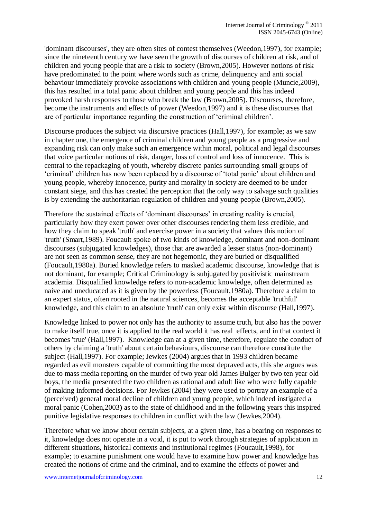'dominant discourses', they are often sites of contest themselves (Weedon,1997), for example; since the nineteenth century we have seen the growth of discourses of children at risk, and of children and young people that are a risk to society (Brown,2005). However notions of risk have predominated to the point where words such as crime, delinquency and anti social behaviour immediately provoke associations with children and young people (Muncie,2009), this has resulted in a total panic about children and young people and this has indeed provoked harsh responses to those who break the law (Brown,2005). Discourses, therefore, become the instruments and effects of power (Weedon,1997) and it is these discourses that are of particular importance regarding the construction of 'criminal children'.

Discourse produces the subject via discursive practices (Hall,1997), for example; as we saw in chapter one, the emergence of criminal children and young people as a progressive and expanding risk can only make such an emergence within moral, political and legal discourses that voice particular notions of risk, danger, loss of control and loss of innocence. This is central to the repackaging of youth, whereby discrete panics surrounding small groups of 'criminal' children has now been replaced by a discourse of 'total panic' about children and young people, whereby innocence, purity and morality in society are deemed to be under constant siege, and this has created the perception that the only way to salvage such qualities is by extending the authoritarian regulation of children and young people (Brown,2005).

Therefore the sustained effects of 'dominant discourses' in creating reality is crucial, particularly how they exert power over other discourses rendering them less credible, and how they claim to speak 'truth' and exercise power in a society that values this notion of 'truth' (Smart,1989). Foucault spoke of two kinds of knowledge, dominant and non-dominant discourses (subjugated knowledges), those that are awarded a lesser status (non-dominant) are not seen as common sense, they are not hegemonic, they are buried or disqualified (Foucault,1980a). Buried knowledge refers to masked academic discourse, knowledge that is not dominant, for example; Critical Criminology is subjugated by positivistic mainstream academia. Disqualified knowledge refers to non-academic knowledge, often determined as naive and uneducated as it is given by the powerless (Foucault,1980a). Therefore a claim to an expert status, often rooted in the natural sciences, becomes the acceptable 'truthful' knowledge, and this claim to an absolute 'truth' can only exist within discourse (Hall,1997).

Knowledge linked to power not only has the authority to assume truth, but also has the power to make itself true, once it is applied to the real world it has real effects, and in that context it becomes 'true' (Hall,1997). Knowledge can at a given time, therefore, regulate the conduct of others by claiming a 'truth' about certain behaviours, discourse can therefore constitute the subject (Hall,1997). For example; Jewkes (2004) argues that in 1993 children became regarded as evil monsters capable of committing the most depraved acts, this she argues was due to mass media reporting on the murder of two year old James Bulger by two ten year old boys, the media presented the two children as rational and adult like who were fully capable of making informed decisions. For Jewkes (2004) they were used to portray an example of a (perceived) general moral decline of children and young people, which indeed instigated a moral panic (Cohen,2003**)** as to the state of childhood and in the following years this inspired punitive legislative responses to children in conflict with the law (Jewkes,2004).

Therefore what we know about certain subjects, at a given time, has a bearing on responses to it, knowledge does not operate in a void, it is put to work through strategies of application in different situations, historical contexts and institutional regimes (Foucault,1998), for example; to examine punishment one would have to examine how power and knowledge has created the notions of crime and the criminal, and to examine the effects of power and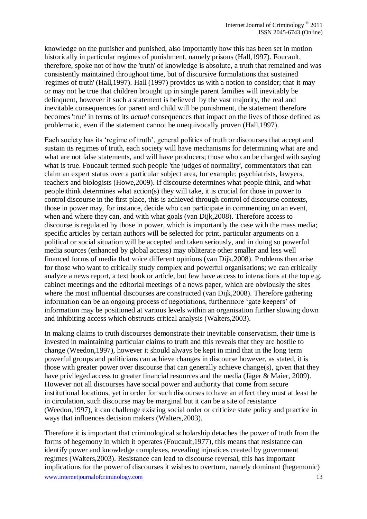knowledge on the punisher and punished, also importantly how this has been set in motion historically in particular regimes of punishment, namely prisons (Hall,1997). Foucault, therefore, spoke not of how the 'truth' of knowledge is absolute, a truth that remained and was consistently maintained throughout time, but of discursive formulations that sustained 'regimes of truth' (Hall,1997). Hall (1997) provides us with a notion to consider; that it may or may not be true that children brought up in single parent families will inevitably be delinquent, however if such a statement is believed by the vast majority, the real and inevitable consequences for parent and child will be punishment, the statement therefore becomes 'true' in terms of its *actual* consequences that impact on the lives of those defined as problematic, even if the statement cannot be unequivocally proven (Hall,1997).

Each society has its 'regime of truth', general politics of truth or discourses that accept and sustain its regimes of truth, each society will have mechanisms for determining what are and what are not false statements, and will have producers; those who can be charged with saying what is true. Foucault termed such people 'the judges of normality', commentators that can claim an expert status over a particular subject area, for example; psychiatrists, lawyers, teachers and biologists (Howe,2009). If discourse determines what people think, and what people think determines what action(s) they will take, it is crucial for those in power to control discourse in the first place, this is achieved through control of discourse contexts, those in power may, for instance, decide who can participate in commenting on an event, when and where they can, and with what goals (van Dijk, 2008). Therefore access to discourse is regulated by those in power, which is importantly the case with the mass media; specific articles by certain authors will be selected for print, particular arguments on a political or social situation will be accepted and taken seriously, and in doing so powerful media sources (enhanced by global access) may obliterate other smaller and less well financed forms of media that voice different opinions (van Dijk,2008). Problems then arise for those who want to critically study complex and powerful organisations; we can critically analyze a news report, a text book or article, but few have access to interactions at the top e.g. cabinet meetings and the editorial meetings of a news paper, which are obviously the sites where the most influential discourses are constructed (van Dijk,2008). Therefore gathering information can be an ongoing process of negotiations, furthermore 'gate keepers' of information may be positioned at various levels within an organisation further slowing down and inhibiting access which obstructs critical analysis (Walters,2003).

In making claims to truth discourses demonstrate their inevitable conservatism, their time is invested in maintaining particular claims to truth and this reveals that they are hostile to change (Weedon,1997), however it should always be kept in mind that in the long term powerful groups and politicians can achieve changes in discourse however, as stated, it is those with greater power over discourse that can generally achieve change(s), given that they have privileged access to greater financial resources and the media (Jäger & Maier, 2009). However not all discourses have social power and authority that come from secure institutional locations, yet in order for such discourses to have an effect they must at least be in circulation, such discourse may be marginal but it can be a site of resistance (Weedon,1997), it can challenge existing social order or criticize state policy and practice in ways that influences decision makers (Walters,2003).

www.internetiournalofcriminology.com 13 Therefore it is important that criminological scholarship detaches the power of truth from the forms of hegemony in which it operates (Foucault,1977), this means that resistance can identify power and knowledge complexes, revealing injustices created by government regimes (Walters,2003). Resistance can lead to discourse reversal, this has important implications for the power of discourses it wishes to overturn, namely dominant (hegemonic)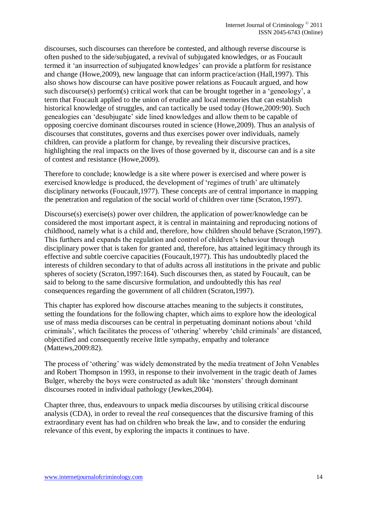discourses, such discourses can therefore be contested, and although reverse discourse is often pushed to the side/subjugated, a revival of subjugated knowledges, or as Foucault termed it 'an insurrection of subjugated knowledges' can provide a platform for resistance and change (Howe,2009), new language that can inform practice/action (Hall,1997). This also shows how discourse can have positive power relations as Foucault argued, and how such discourse(s) perform(s) critical work that can be brought together in a 'geneology', a term that Foucault applied to the union of erudite and local memories that can establish historical knowledge of struggles, and can tactically be used today (Howe,2009:90). Such genealogies can 'desubjugate' side lined knowledges and allow them to be capable of opposing coercive dominant discourses routed in science (Howe,2009). Thus an analysis of discourses that constitutes, governs and thus exercises power over individuals, namely children, can provide a platform for change, by revealing their discursive practices, highlighting the real impacts on the lives of those governed by it, discourse can and is a site of contest and resistance (Howe,2009).

Therefore to conclude; knowledge is a site where power is exercised and where power is exercised knowledge is produced, the development of 'regimes of truth' are ultimately disciplinary networks (Foucault,1977). These concepts are of central importance in mapping the penetration and regulation of the social world of children over time (Scraton,1997).

Discourse(s) exercise(s) power over children, the application of power/knowledge can be considered the most important aspect, it is central in maintaining and reproducing notions of childhood, namely what is a child and, therefore, how children should behave (Scraton,1997). This furthers and expands the regulation and control of children's behaviour through disciplinary power that is taken for granted and, therefore, has attained legitimacy through its effective and subtle coercive capacities (Foucault,1977). This has undoubtedly placed the interests of children secondary to that of adults across all institutions in the private and public spheres of society (Scraton,1997:164). Such discourses then, as stated by Foucault, can be said to belong to the same discursive formulation, and undoubtedly this has *real* consequences regarding the government of all children (Scraton,1997).

This chapter has explored how discourse attaches meaning to the subjects it constitutes, setting the foundations for the following chapter, which aims to explore how the ideological use of mass media discourses can be central in perpetuating dominant notions about 'child criminals', which facilitates the process of 'othering' whereby 'child criminals' are distanced, objectified and consequently receive little sympathy, empathy and tolerance (Mattews,2009:82).

The process of 'othering' was widely demonstrated by the media treatment of John Venables and Robert Thompson in 1993, in response to their involvement in the tragic death of James Bulger, whereby the boys were constructed as adult like 'monsters' through dominant discourses rooted in individual pathology (Jewkes,2004).

Chapter three, thus, endeavours to unpack media discourses by utilising critical discourse analysis (CDA), in order to reveal the *real* consequences that the discursive framing of this extraordinary event has had on children who break the law, and to consider the enduring relevance of this event, by exploring the impacts it continues to have.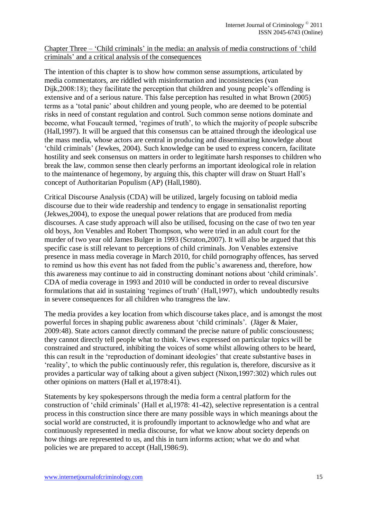## Chapter Three – 'Child criminals' in the media: an analysis of media constructions of 'child criminals' and a critical analysis of the consequences

The intention of this chapter is to show how common sense assumptions, articulated by media commentators, are riddled with misinformation and inconsistencies (van Dijk, 2008:18); they facilitate the perception that children and young people's offending is extensive and of a serious nature. This false perception has resulted in what Brown (2005) terms as a 'total panic' about children and young people, who are deemed to be potential risks in need of constant regulation and control. Such common sense notions dominate and become, what Foucault termed, 'regimes of truth', to which the majority of people subscribe (Hall,1997). It will be argued that this consensus can be attained through the ideological use the mass media, whose actors are central in producing and disseminating knowledge about 'child criminals' (Jewkes, 2004). Such knowledge can be used to express concern, facilitate hostility and seek consensus on matters in order to legitimate harsh responses to children who break the law, common sense then clearly performs an important ideological role in relation to the maintenance of hegemony, by arguing this, this chapter will draw on Stuart Hall's concept of Authoritarian Populism (AP) (Hall,1980).

Critical Discourse Analysis (CDA) will be utilized, largely focusing on tabloid media discourse due to their wide readership and tendency to engage in sensationalist reporting (Jekwes,2004), to expose the unequal power relations that are produced from media discourses. A case study approach will also be utilised, focusing on the case of two ten year old boys, Jon Venables and Robert Thompson, who were tried in an adult court for the murder of two year old James Bulger in 1993 (Scraton,2007). It will also be argued that this specific case is still relevant to perceptions of child criminals. Jon Venables extensive presence in mass media coverage in March 2010, for child pornography offences, has served to remind us how this event has not faded from the public's awareness and, therefore, how this awareness may continue to aid in constructing dominant notions about 'child criminals'. CDA of media coverage in 1993 and 2010 will be conducted in order to reveal discursive formulations that aid in sustaining 'regimes of truth' (Hall,1997), which undoubtedly results in severe consequences for all children who transgress the law.

The media provides a key location from which discourse takes place, and is amongst the most powerful forces in shaping public awareness about 'child criminals'. (Jäger & Maier, 2009:48). State actors cannot directly command the precise nature of public consciousness; they cannot directly tell people what to think. Views expressed on particular topics will be constrained and structured, inhibiting the voices of some whilst allowing others to be heard, this can result in the 'reproduction of dominant ideologies' that create substantive bases in 'reality', to which the public continuously refer, this regulation is, therefore, discursive as it provides a particular way of talking about a given subject (Nixon,1997:302) which rules out other opinions on matters (Hall et al,1978:41).

Statements by key spokespersons through the media form a central platform for the construction of 'child criminals' (Hall et al,1978: 41-42), selective representation is a central process in this construction since there are many possible ways in which meanings about the social world are constructed, it is profoundly important to acknowledge who and what are continuously represented in media discourse, for what we know about society depends on how things are represented to us, and this in turn informs action; what we do and what policies we are prepared to accept (Hall,1986:9).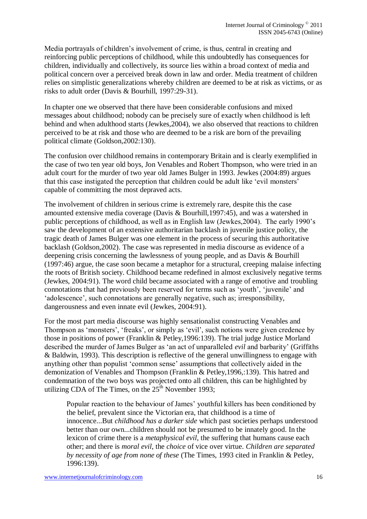Media portrayals of children's involvement of crime, is thus, central in creating and reinforcing public perceptions of childhood, while this undoubtedly has consequences for children, individually and collectively, its source lies within a broad context of media and political concern over a perceived break down in law and order. Media treatment of children relies on simplistic generalizations whereby children are deemed to be at risk as victims, or as risks to adult order (Davis & Bourhill, 1997:29-31).

In chapter one we observed that there have been considerable confusions and mixed messages about childhood; nobody can be precisely sure of exactly when childhood is left behind and when adulthood starts (Jewkes,2004), we also observed that reactions to children perceived to be at risk and those who are deemed to be a risk are born of the prevailing political climate (Goldson,2002:130).

The confusion over childhood remains in contemporary Britain and is clearly exemplified in the case of two ten year old boys, Jon Venables and Robert Thompson, who were tried in an adult court for the murder of two year old James Bulger in 1993. Jewkes (2004:89) argues that this case instigated the perception that children could be adult like 'evil monsters' capable of committing the most depraved acts.

The involvement of children in serious crime is extremely rare, despite this the case amounted extensive media coverage (Davis & Bourhill,1997:45), and was a watershed in public perceptions of childhood, as well as in English law (Jewkes,2004). The early 1990's saw the development of an extensive authoritarian backlash in juvenile justice policy, the tragic death of James Bulger was one element in the process of securing this authoritative backlash (Goldson,2002). The case was represented in media discourse as evidence of a deepening crisis concerning the lawlessness of young people, and as Davis & Bourhill (1997:46) argue, the case soon became a metaphor for a structural, creeping malaise infecting the roots of British society. Childhood became redefined in almost exclusively negative terms (Jewkes, 2004:91). The word child became associated with a range of emotive and troubling connotations that had previously been reserved for terms such as 'youth', 'juvenile' and 'adolescence', such connotations are generally negative, such as; irresponsibility, dangerousness and even innate evil (Jewkes, 2004:91).

For the most part media discourse was highly sensationalist constructing Venables and Thompson as 'monsters', 'freaks', or simply as 'evil', such notions were given credence by those in positions of power (Franklin & Petley,1996:139). The trial judge Justice Morland described the murder of James Bulger as 'an act of unparalleled *evil* and barbarity' (Griffiths & Baldwin, 1993). This description is reflective of the general unwillingness to engage with anything other than populist 'common sense' assumptions that collectively aided in the demonization of Venables and Thompson (Franklin & Petley,1996,:139). This hatred and condemnation of the two boys was projected onto all children, this can be highlighted by utilizing CDA of The Times, on the  $25<sup>th</sup>$  November 1993;

Popular reaction to the behaviour of James' youthful killers has been conditioned by the belief, prevalent since the Victorian era, that childhood is a time of innocence...But *childhood has a darker side* which past societies perhaps understood better than our own...children should not be presumed to be innately good. In the lexicon of crime there is a *metaphysical evil*, the suffering that humans cause each other; and there is *moral evil*, the *choice* of vice over virtue. *Children are separated by necessity of age from none of these* (The Times, 1993 cited in Franklin & Petley, 1996:139).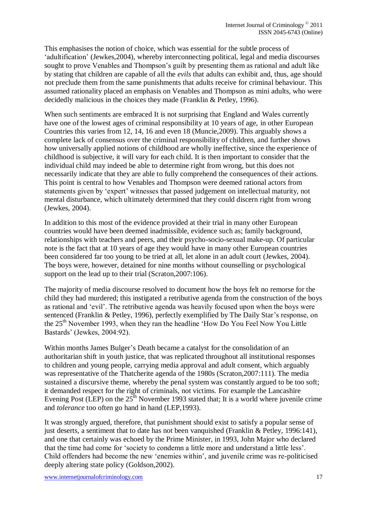This emphasises the notion of choice, which was essential for the subtle process of 'adultification' (Jewkes,2004), whereby interconnecting political, legal and media discourses sought to prove Venables and Thompson's guilt by presenting them as rational and adult like by stating that children are capable of all the *evils* that adults can exhibit and, thus, age should not preclude them from the same punishments that adults receive for criminal behaviour. This assumed rationality placed an emphasis on Venables and Thompson as mini adults, who were decidedly malicious in the choices they made (Franklin & Petley, 1996).

When such sentiments are embraced It is not surprising that England and Wales currently have one of the lowest ages of criminal responsibility at 10 years of age, in other European Countries this varies from 12, 14, 16 and even 18 (Muncie,2009). This arguably shows a complete lack of consensus over the criminal responsibility of children, and further shows how universally applied notions of childhood are wholly ineffective, since the experience of childhood is subjective, it will vary for each child. It is then important to consider that the individual child may indeed be able to determine right from wrong, but this does not necessarily indicate that they are able to fully comprehend the consequences of their actions. This point is central to how Venables and Thompson were deemed rational actors from statements given by 'expert' witnesses that passed judgement on intellectual maturity, not mental disturbance, which ultimately determined that they could discern right from wrong (Jewkes, 2004).

In addition to this most of the evidence provided at their trial in many other European countries would have been deemed inadmissible, evidence such as; family background, relationships with teachers and peers, and their psycho-socio-sexual make-up. Of particular note is the fact that at 10 years of age they would have in many other European countries been considered far too young to be tried at all, let alone in an adult court (Jewkes, 2004). The boys were, however, detained for nine months without counselling or psychological support on the lead up to their trial (Scraton, 2007:106).

The majority of media discourse resolved to document how the boys felt no remorse for the child they had murdered; this instigated a retributive agenda from the construction of the boys as rational and 'evil'. The retributive agenda was heavily focused upon when the boys were sentenced (Franklin & Petley, 1996), perfectly exemplified by The Daily Star's response, on the 25<sup>th</sup> November 1993, when they ran the headline 'How Do You Feel Now You Little Bastards' (Jewkes, 2004:92).

Within months James Bulger's Death became a catalyst for the consolidation of an authoritarian shift in youth justice, that was replicated throughout all institutional responses to children and young people, carrying media approval and adult consent, which arguably was representative of the Thatcherite agenda of the 1980s (Scraton,2007:111). The media sustained a discursive theme, whereby the penal system was constantly argued to be too soft; it demanded respect for the right of criminals, not victims. For example the Lancashire Evening Post (LEP) on the  $25<sup>th</sup>$  November 1993 stated that; It is a world where juvenile crime and *tolerance* too often go hand in hand (LEP,1993).

It was strongly argued, therefore, that punishment should exist to satisfy a popular sense of just deserts, a sentiment that to date has not been vanquished (Franklin & Petley, 1996:141), and one that certainly was echoed by the Prime Minister, in 1993, John Major who declared that the time had come for 'society to condemn a little more and understand a little less'. Child offenders had become the new 'enemies within', and juvenile crime was re-politicised deeply altering state policy (Goldson,2002).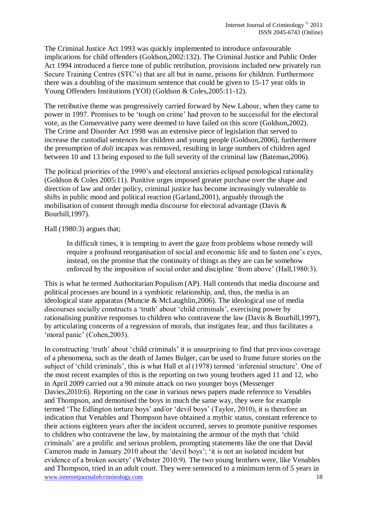The Criminal Justice Act 1993 was quickly implemented to introduce unfavourable implications for child offenders (Goldson,2002:132). The Criminal Justice and Public Order Act 1994 introduced a fierce tone of public retribution, provisions included new privately run Secure Training Centres (STC's) that are all but in name, prisons for children. Furthermore there was a doubling of the maximum sentence that could be given to 15-17 year olds in Young Offenders Institutions (YOI) (Goldson & Coles,2005:11-12).

The retributive theme was progressively carried forward by New Labour, when they came to power in 1997. Promises to be 'tough on crime' had proven to be successful for the electoral vote, as the Conservative party were deemed to have failed on this score (Goldson,2002). The Crime and Disorder Act 1998 was an extensive piece of legislation that served to increase the custodial sentences for children and young people (Goldson,2006), furthermore the presumption of *doli* incapax was removed, resulting in large numbers of children aged between 10 and 13 being exposed to the full severity of the criminal law (Bateman,2006).

The political priorities of the 1990's and electoral anxieties eclipsed penological rationality (Goldson & Coles 2005:11). Punitive urges imposed greater purchase over the shape and direction of law and order policy, criminal justice has become increasingly vulnerable to shifts in public mood and political reaction (Garland,2001), arguably through the mobilisation of consent through media discourse for electoral advantage (Davis & Bourhill,1997).

#### Hall (1980:3) argues that;

In difficult times, it is tempting to avert the gaze from problems whose remedy will require a profound reorganisation of social and economic life and to fasten one's eyes, instead, on the promise that the continuity of things as they are can be somehow enforced by the imposition of social order and discipline 'from above' (Hall,1980:3).

This is what he termed Authoritarian Populism (AP). Hall contends that media discourse and political processes are bound in a symbiotic relationship, and, thus, the media is an ideological state apparatus (Muncie & McLaughlin,2006). The ideological use of media discourses socially constructs a 'truth' about 'child criminals', exercising power by rationalising punitive responses to children who contravene the law (Davis & Bourhill,1997), by articulating concerns of a regression of morals, that instigates fear, and thus facilitates a 'moral panic' (Cohen,2003).

www.internetjournalofcriminology.com 18 In constructing 'truth' about 'child criminals' it is unsurprising to find that previous coverage of a phenomena, such as the death of James Bulger, can be used to frame future stories on the subject of 'child criminals', this is what Hall et al (1978) termed 'inferenial structure'. One of the most recent examples of this is the reporting on two young brothers aged 11 and 12, who in April 2009 carried out a 90 minute attack on two younger boys (Messenger Davies,2010:6). Reporting on the case in various news papers made reference to Venables and Thompson, and demonised the boys in much the same way, they were for example termed 'The Edlington torture boys' and/or 'devil boys' (Taylor, 2010), it is therefore an indication that Venables and Thompson have obtained a mythic status, constant reference to their actions eighteen years after the incident occurred, serves to promote punitive responses to children who contravene the law, by maintaining the armour of the myth that 'child criminals' are a prolific and serious problem, prompting statements like the one that David Cameron made in January 2010 about the 'devil boys'; 'it is not an isolated incident but evidence of a broken society' (Webster 2010:9). The two young brothers were, like Venables and Thompson, tried in an adult court. They were sentenced to a minimum term of 5 years in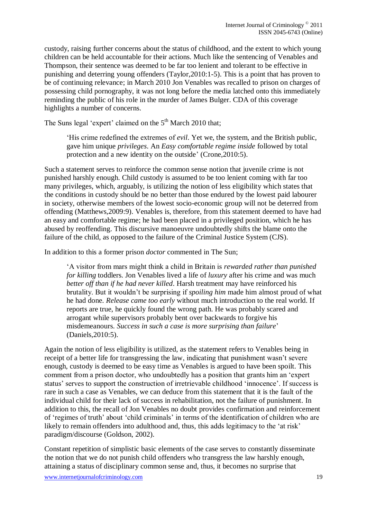custody, raising further concerns about the status of childhood, and the extent to which young children can be held accountable for their actions. Much like the sentencing of Venables and Thompson, their sentence was deemed to be far too lenient and tolerant to be effective in punishing and deterring young offenders (Taylor,2010:1-5). This is a point that has proven to be of continuing relevance; in March 2010 Jon Venables was recalled to prison on charges of possessing child pornography, it was not long before the media latched onto this immediately reminding the public of his role in the murder of James Bulger. CDA of this coverage highlights a number of concerns.

The Suns legal 'expert' claimed on the 5<sup>th</sup> March 2010 that:

'His crime redefined the extremes of *evil*. Yet we, the system, and the British public, gave him unique *privileges*. An *Easy comfortable regime inside* followed by total protection and a new identity on the outside' (Crone,2010:5).

Such a statement serves to reinforce the common sense notion that juvenile crime is not punished harshly enough. Child custody is assumed to be too lenient coming with far too many privileges, which, arguably, is utilizing the notion of less eligibility which states that the conditions in custody should be no better than those endured by the lowest paid labourer in society, otherwise members of the lowest socio-economic group will not be deterred from offending (Matthews,2009:9). Venables is, therefore, from this statement deemed to have had an easy and comfortable regime; he had been placed in a privileged position, which he has abused by reoffending. This discursive manoeuvre undoubtedly shifts the blame onto the failure of the child, as opposed to the failure of the Criminal Justice System (CJS).

In addition to this a former prison *doctor* commented in The Sun;

'A visitor from mars might think a child in Britain is *rewarded rather than punished for killing* toddlers. Jon Venables lived a life of *luxury* after his crime and was much *better off than if he had never killed*. Harsh treatment may have reinforced his brutality. But it wouldn't be surprising if *spoiling him* made him almost proud of what he had done. *Release came too early* without much introduction to the real world. If reports are true, he quickly found the wrong path. He was probably scared and arrogant while supervisors probably bent over backwards to forgive his misdemeanours. *Success in such a case is more surprising than failure*' (Daniels,2010:5).

Again the notion of less eligibility is utilized, as the statement refers to Venables being in receipt of a better life for transgressing the law, indicating that punishment wasn't severe enough, custody is deemed to be easy time as Venables is argued to have been spoilt. This comment from a prison doctor, who undoubtedly has a position that grants him an 'expert status' serves to support the construction of irretrievable childhood 'innocence'. If success is rare in such a case as Venables, we can deduce from this statement that it is the fault of the individual child for their lack of success in rehabilitation, not the failure of punishment. In addition to this, the recall of Jon Venables no doubt provides confirmation and reinforcement of 'regimes of truth' about 'child criminals' in terms of the identification of children who are likely to remain offenders into adulthood and, thus, this adds legitimacy to the 'at risk' paradigm/discourse (Goldson, 2002).

Constant repetition of simplistic basic elements of the case serves to constantly disseminate the notion that we do not punish child offenders who transgress the law harshly enough, attaining a status of disciplinary common sense and, thus, it becomes no surprise that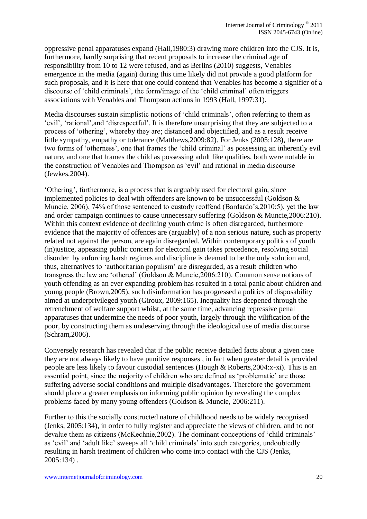oppressive penal apparatuses expand (Hall,1980:3) drawing more children into the CJS. It is, furthermore, hardly surprising that recent proposals to increase the criminal age of responsibility from 10 to 12 were refused, and as Berlins (2010) suggests, Venables emergence in the media (again) during this time likely did not provide a good platform for such proposals, and it is here that one could contend that Venables has become a signifier of a discourse of 'child criminals', the form/image of the 'child criminal' often triggers associations with Venables and Thompson actions in 1993 (Hall, 1997:31).

Media discourses sustain simplistic notions of 'child criminals', often referring to them as 'evil', 'rational',and 'disrespectful'. It is therefore unsurprising that they are subjected to a process of 'othering', whereby they are; distanced and objectified, and as a result receive little sympathy, empathy or tolerance (Matthews,2009:82). For Jenks (2005:128), there are two forms of 'otherness', one that frames the 'child criminal' as possessing an inherently evil nature, and one that frames the child as possessing adult like qualities, both were notable in the construction of Venables and Thompson as 'evil' and rational in media discourse (Jewkes,2004).

'Othering', furthermore, is a process that is arguably used for electoral gain, since implemented policies to deal with offenders are known to be unsuccessful (Goldson & Muncie, 2006), 74% of those sentenced to custody reoffend (Bardardo's,2010:5), yet the law and order campaign continues to cause unnecessary suffering (Goldson & Muncie,2006:210). Within this context evidence of declining youth crime is often disregarded, furthermore evidence that the majority of offences are (arguably) of a non serious nature, such as property related not against the person, are again disregarded. Within contemporary politics of youth (in)justice, appeasing public concern for electoral gain takes precedence, resolving social disorder by enforcing harsh regimes and discipline is deemed to be the only solution and, thus, alternatives to 'authoritarian populism' are disregarded, as a result children who transgress the law are 'othered' (Goldson & Muncie,2006:210). Common sense notions of youth offending as an ever expanding problem has resulted in a total panic about children and young people (Brown,2005), such disinformation has progressed a politics of disposability aimed at underprivileged youth (Giroux, 2009:165). Inequality has deepened through the retrenchment of welfare support whilst, at the same time, advancing repressive penal apparatuses that undermine the needs of poor youth, largely through the vilification of the poor, by constructing them as undeserving through the ideological use of media discourse (Schram,2006).

Conversely research has revealed that if the public receive detailed facts about a given case they are not always likely to have punitive responses , in fact when greater detail is provided people are less likely to favour custodial sentences (Hough & Roberts,2004:x-xi). This is an essential point, since the majority of children who are defined as 'problematic' are those suffering adverse social conditions and multiple disadvantages**.** Therefore the government should place a greater emphasis on informing public opinion by revealing the complex problems faced by many young offenders (Goldson & Muncie, 2006:211).

Further to this the socially constructed nature of childhood needs to be widely recognised (Jenks, 2005:134), in order to fully register and appreciate the views of children, and to not devalue them as citizens (McKechnie,2002). The dominant conceptions of 'child criminals' as 'evil' and 'adult like' sweeps all 'child criminals' into such categories, undoubtedly resulting in harsh treatment of children who come into contact with the CJS (Jenks, 2005:134) .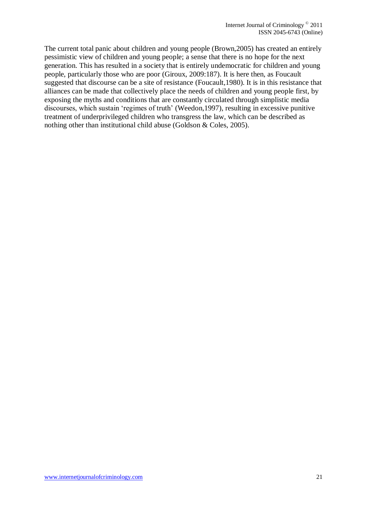The current total panic about children and young people (Brown,2005) has created an entirely pessimistic view of children and young people; a sense that there is no hope for the next generation. This has resulted in a society that is entirely undemocratic for children and young people, particularly those who are poor (Giroux, 2009:187). It is here then, as Foucault suggested that discourse can be a site of resistance (Foucault,1980). It is in this resistance that alliances can be made that collectively place the needs of children and young people first, by exposing the myths and conditions that are constantly circulated through simplistic media discourses, which sustain 'regimes of truth' (Weedon,1997), resulting in excessive punitive treatment of underprivileged children who transgress the law, which can be described as nothing other than institutional child abuse (Goldson & Coles, 2005).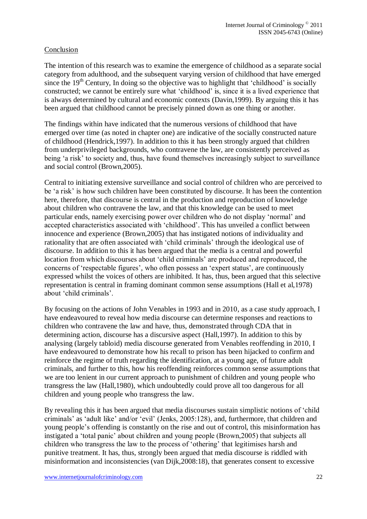## Conclusion

The intention of this research was to examine the emergence of childhood as a separate social category from adulthood, and the subsequent varying version of childhood that have emerged since the  $19<sup>th</sup>$  Century, In doing so the objective was to highlight that 'childhood' is socially constructed; we cannot be entirely sure what 'childhood' is, since it is a lived experience that is always determined by cultural and economic contexts (Davin,1999). By arguing this it has been argued that childhood cannot be precisely pinned down as one thing or another.

The findings within have indicated that the numerous versions of childhood that have emerged over time (as noted in chapter one) are indicative of the socially constructed nature of childhood (Hendrick,1997). In addition to this it has been strongly argued that children from underprivileged backgrounds, who contravene the law, are consistently perceived as being 'a risk' to society and, thus, have found themselves increasingly subject to surveillance and social control (Brown,2005).

Central to initiating extensive surveillance and social control of children who are perceived to be 'a risk' is how such children have been constituted by discourse. It has been the contention here, therefore, that discourse is central in the production and reproduction of knowledge about children who contravene the law, and that this knowledge can be used to meet particular ends, namely exercising power over children who do not display 'normal' and accepted characteristics associated with 'childhood'. This has unveiled a conflict between innocence and experience (Brown,2005) that has instigated notions of individuality and rationality that are often associated with 'child criminals' through the ideological use of discourse. In addition to this it has been argued that the media is a central and powerful location from which discourses about 'child criminals' are produced and reproduced, the concerns of 'respectable figures', who often possess an 'expert status', are continuously expressed whilst the voices of others are inhibited. It has, thus, been argued that this selective representation is central in framing dominant common sense assumptions (Hall et al,1978) about 'child criminals'.

By focusing on the actions of John Venables in 1993 and in 2010, as a case study approach, I have endeavoured to reveal how media discourse can determine responses and reactions to children who contravene the law and have, thus, demonstrated through CDA that in determining action, discourse has a discursive aspect (Hall,1997). In addition to this by analysing (largely tabloid) media discourse generated from Venables reoffending in 2010, I have endeavoured to demonstrate how his recall to prison has been hijacked to confirm and reinforce the regime of truth regarding the identification, at a young age, of future adult criminals, and further to this, how his reoffending reinforces common sense assumptions that we are too lenient in our current approach to punishment of children and young people who transgress the law (Hall,1980), which undoubtedly could prove all too dangerous for all children and young people who transgress the law.

By revealing this it has been argued that media discourses sustain simplistic notions of 'child criminals' as 'adult like' and/or 'evil' (Jenks, 2005:128), and, furthermore, that children and young people's offending is constantly on the rise and out of control, this misinformation has instigated a 'total panic' about children and young people (Brown,2005) that subjects all children who transgress the law to the process of 'othering' that legitimises harsh and punitive treatment. It has, thus, strongly been argued that media discourse is riddled with misinformation and inconsistencies (van Dijk,2008:18), that generates consent to excessive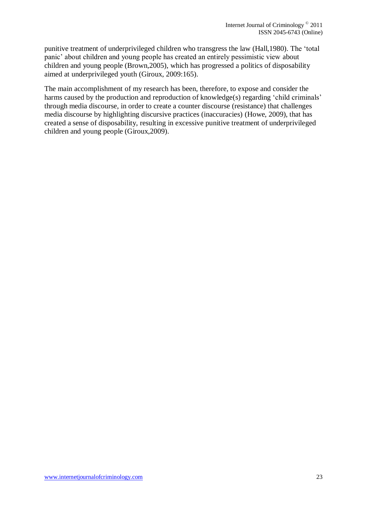punitive treatment of underprivileged children who transgress the law (Hall,1980). The 'total panic' about children and young people has created an entirely pessimistic view about children and young people (Brown,2005), which has progressed a politics of disposability aimed at underprivileged youth (Giroux, 2009:165).

The main accomplishment of my research has been, therefore, to expose and consider the harms caused by the production and reproduction of knowledge(s) regarding 'child criminals' through media discourse, in order to create a counter discourse (resistance) that challenges media discourse by highlighting discursive practices (inaccuracies) (Howe, 2009), that has created a sense of disposability, resulting in excessive punitive treatment of underprivileged children and young people (Giroux,2009).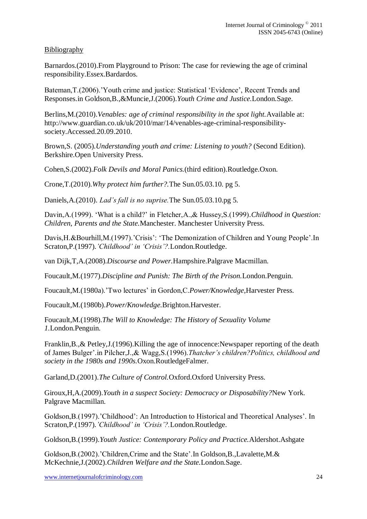# Bibliography

Barnardos.(2010).From Playground to Prison: The case for reviewing the age of criminal responsibility.Essex.Bardardos.

Bateman,T.(2006).'Youth crime and justice: Statistical 'Evidence', Recent Trends and Responses.in Goldson,B.,&Muncie,J.(2006).*Youth Crime and Justice.*London.Sage.

Berlins,M.(2010).*Venables: age of criminal responsibility in the spot light.*Available at: [http://www.guardian.co.uk/uk/2010/mar/14/venables-age-criminal-responsibility](http://www.guardian.co.uk/uk/2010/mar/14/venables-age-criminal-responsibility-society.Accessed.20.09.2010)[society.Accessed.20.09.2010.](http://www.guardian.co.uk/uk/2010/mar/14/venables-age-criminal-responsibility-society.Accessed.20.09.2010)

Brown,S. (2005).*Understanding youth and crime: Listening to youth?* (Second Edition). Berkshire.Open University Press.

Cohen,S.(2002).*Folk Devils and Moral Panics.*(third edition).Routledge.Oxon.

Crone,T.(2010).*Why protect him further?.*The Sun.05.03.10. pg 5.

Daniels,A.(2010). *Lad's fall is no suprise.*The Sun.05.03.10.pg 5.

Davin, A.(1999). 'What is a child?' in Fletcher, A., & Hussey, S.(1999). *Childhood in Question*: *Children, Parents and the State.*Manchester. Manchester University Press.

Davis, H. & Bourhill, M. (1997). 'Crisis': 'The Demonization of Children and Young People'. In Scraton,P.(1997).*'Childhood' in 'Crisis'?.*London.Routledge.

van Dijk,T,A.(2008).*Discourse and Power.*Hampshire.Palgrave Macmillan.

Foucault,M.(1977).*Discipline and Punish: The Birth of the Prison.*London.Penguin.

Foucault,M.(1980a).'Two lectures' in Gordon,C.*Power/Knowledge,*Harvester Press.

Foucault,M.(1980b).*Power/Knowledge.*Brighton.Harvester.

Foucault,M.(1998).*The Will to Knowledge: The History of Sexuality Volume 1.*London.Penguin.

Franklin,B.,& Petley,J.(1996).Killing the age of innocence:Newspaper reporting of the death of James Bulger'.in Pilcher,J.,& Wagg,S.(1996).*Thatcher's children?Politics, childhood and society in the 1980s and 1990s.*Oxon.RoutledgeFalmer.

Garland,D.(2001).*The Culture of Control.*Oxford.Oxford University Press.

Giroux,H,A.(2009).*Youth in a suspect Society: Democracy or Disposability?*New York. Palgrave Macmillan.

Goldson,B.(1997).'Childhood': An Introduction to Historical and Theoretical Analyses'. In Scraton,P.(1997).*'Childhood' in 'Crisis'?.*London.Routledge.

Goldson,B.(1999).*Youth Justice: Contemporary Policy and Practice.*Aldershot.Ashgate

Goldson,B.(2002).'Children,Crime and the State'.In Goldson,B.,Lavalette,M.& McKechnie,J.(2002).*Children Welfare and the State.*London.Sage.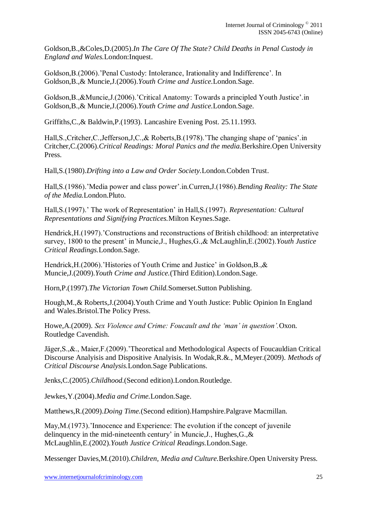Goldson,B.,&Coles,D.(2005).*In The Care Of The State? Child Deaths in Penal Custody in England and Wales.*London:Inquest.

Goldson,B.(2006).'Penal Custody: Intolerance, Irationality and Indifference'. In Goldson,B.,& Muncie,J.(2006).*Youth Crime and Justice.*London.Sage.

Goldson,B.,&Muncie,J.(2006).'Critical Anatomy: Towards a principled Youth Justice'.in Goldson,B.,& Muncie,J.(2006).*Youth Crime and Justice.*London.Sage.

Griffiths,C.,& Baldwin,P.(1993). Lancashire Evening Post. 25.11.1993.

Hall,S.,Critcher,C.,Jefferson,J,C.,& Roberts,B.(1978).'The changing shape of 'panics'.in Critcher,C.(2006).*Critical Readings: Moral Panics and the media.*Berkshire.Open University Press.

Hall,S.(1980).*Drifting into a Law and Order Society.*London.Cobden Trust.

Hall,S.(1986).'Media power and class power'.in.Curren,J.(1986).*Bending Reality: The State of the Media.*London.Pluto.

Hall,S.(1997).' The work of Representation' in Hall,S.(1997). *Representation: Cultural Representations and Signifying Practices.*Milton Keynes.Sage.

Hendrick,H.(1997).'Constructions and reconstructions of British childhood: an interpretative survey, 1800 to the present' in Muncie,J., Hughes,G.,& McLaughlin,E.(2002).*Youth Justice Critical Readings.*London.Sage.

Hendrick, H. (2006). 'Histories of Youth Crime and Justice' in Goldson, B., & Muncie,J.(2009).*Youth Crime and Justice.*(Third Edition).London.Sage.

Horn,P.(1997).*The Victorian Town Child.*Somerset.Sutton Publishing.

Hough,M.,& Roberts,J.(2004).Youth Crime and Youth Justice: Public Opinion In England and Wales.Bristol.The Policy Press.

Howe,A.(2009). *Sex Violence and Crime: Foucault and the 'man' in question'.*Oxon. Routledge Cavendish.

Jäger,S.,&., Maier,F.(2009).'Theoretical and Methodological Aspects of Foucauldian Critical Discourse Analyisis and Dispositive Analyisis. In Wodak,R.&., M,Meyer.(2009). *Methods of Critical Discourse Analysis.*London.Sage Publications.

Jenks,C.(2005).*Childhood.*(Second edition).London.Routledge.

Jewkes,Y.(2004).*Media and Crime.*London.Sage.

Matthews,R.(2009).*Doing Time.*(Second edition).Hampshire.Palgrave Macmillan.

May,M.(1973).'Innocence and Experience: The evolution if the concept of juvenile delinquency in the mid-nineteenth century' in Muncie,J., Hughes,G.,& McLaughlin,E.(2002).*Youth Justice Critical Readings.*London.Sage.

Messenger Davies,M.(2010).*Children, Media and Culture.*Berkshire.Open University Press.